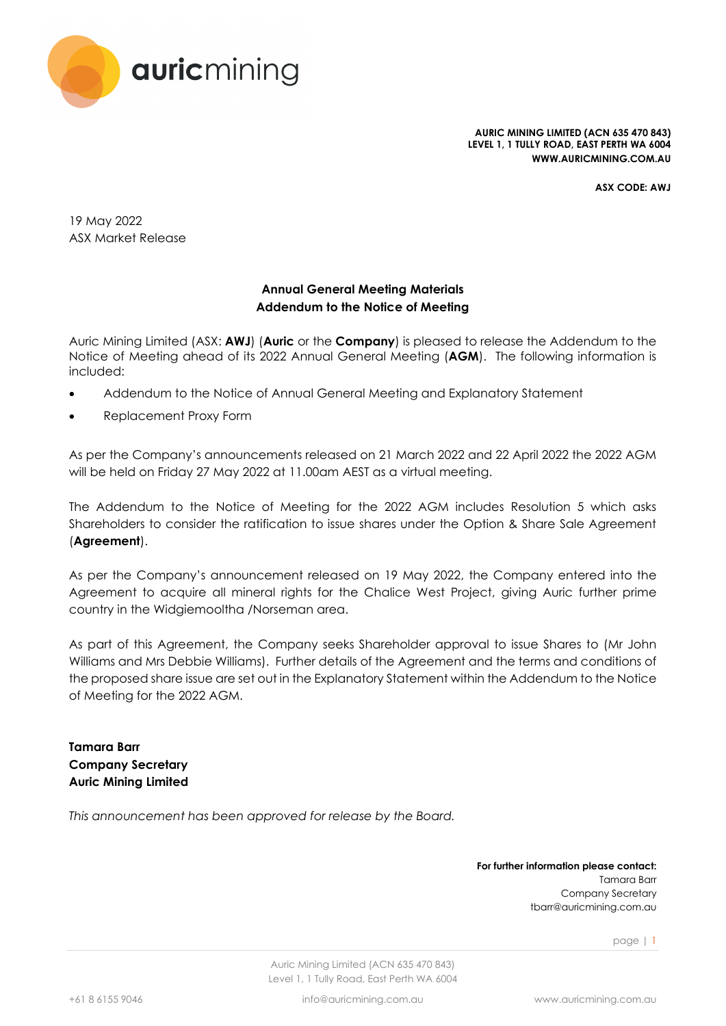

**AURIC MINING LIMITED (ACN 635 470 843) LEVEL 1, 1 TULLY ROAD, EAST PERTH WA 6004 WWW.AURICMINING.COM.AU**

**ASX CODE: AWJ**

19 May 2022 ASX Market Release

# **Annual General Meeting Materials Addendum to the Notice of Meeting**

Auric Mining Limited (ASX: **AWJ**) (**Auric** or the **Company**) is pleased to release the Addendum to the Notice of Meeting ahead of its 2022 Annual General Meeting (**AGM**). The following information is included:

- Addendum to the Notice of Annual General Meeting and Explanatory Statement
- Replacement Proxy Form

As per the Company's announcements released on 21 March 2022 and 22 April 2022 the 2022 AGM will be held on Friday 27 May 2022 at 11.00am AEST as a virtual meeting.

The Addendum to the Notice of Meeting for the 2022 AGM includes Resolution 5 which asks Shareholders to consider the ratification to issue shares under the Option & Share Sale Agreement (**Agreement**).

As per the Company's announcement released on 19 May 2022, the Company entered into the Agreement to acquire all mineral rights for the Chalice West Project, giving Auric further prime country in the Widgiemooltha /Norseman area.

As part of this Agreement, the Company seeks Shareholder approval to issue Shares to (Mr John Williams and Mrs Debbie Williams). Further details of the Agreement and the terms and conditions of the proposed share issue are set out in the Explanatory Statement within the Addendum to the Notice of Meeting for the 2022 AGM.

**Tamara Barr Company Secretary Auric Mining Limited**

*This announcement has been approved for release by the Board.*

**For further information please contact:** Tamara Barr Company Secretary tbarr@auricmining.com.au

page | 1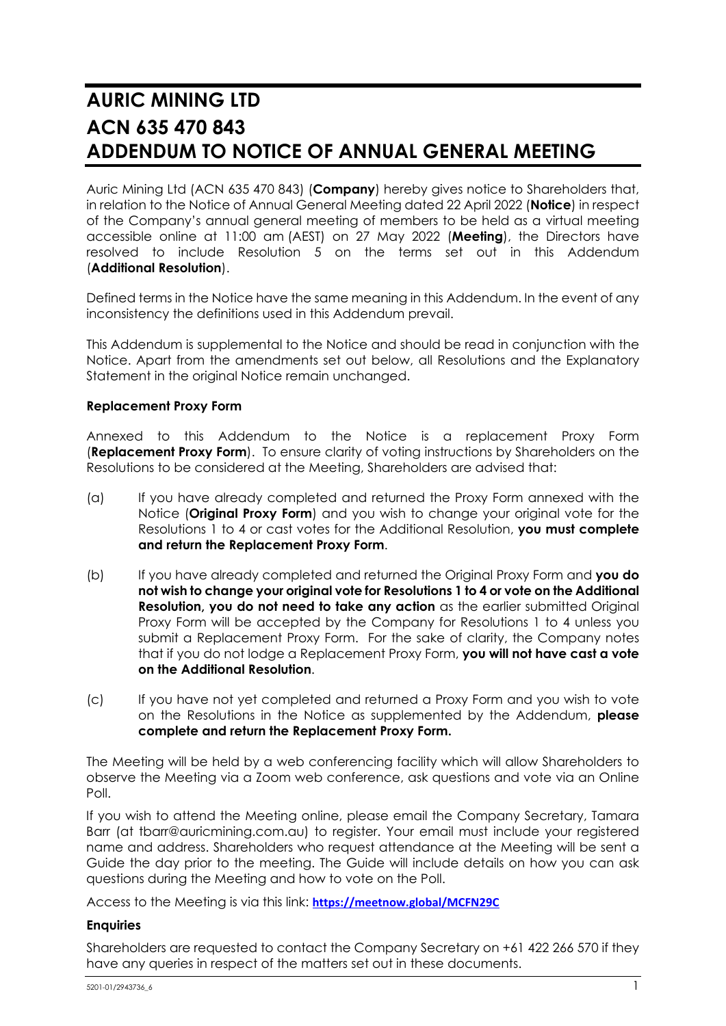# **AURIC MINING LTD ACN 635 470 843 ADDENDUM TO NOTICE OF ANNUAL GENERAL MEETING**

Auric Mining Ltd (ACN 635 470 843) (**Company**) hereby gives notice to Shareholders that, in relation to the Notice of Annual General Meeting dated 22 April 2022 (**Notice**) in respect of the Company's annual general meeting of members to be held as a virtual meeting accessible online at 11:00 am (AEST) on 27 May 2022 (**Meeting**), the Directors have resolved to include Resolution 5 on the terms set out in this Addendum (**Additional Resolution**).

Defined terms in the Notice have the same meaning in this Addendum. In the event of any inconsistency the definitions used in this Addendum prevail.

This Addendum is supplemental to the Notice and should be read in conjunction with the Notice. Apart from the amendments set out below, all Resolutions and the Explanatory Statement in the original Notice remain unchanged.

# **Replacement Proxy Form**

Annexed to this Addendum to the Notice is a replacement Proxy Form (**Replacement Proxy Form**). To ensure clarity of voting instructions by Shareholders on the Resolutions to be considered at the Meeting, Shareholders are advised that:

- (a) If you have already completed and returned the Proxy Form annexed with the Notice (**Original Proxy Form**) and you wish to change your original vote for the Resolutions 1 to 4 or cast votes for the Additional Resolution, **you must complete and return the Replacement Proxy Form**.
- (b) If you have already completed and returned the Original Proxy Form and **you do not wish to change your original vote for Resolutions 1 to 4 or vote on the Additional Resolution, you do not need to take any action** as the earlier submitted Original Proxy Form will be accepted by the Company for Resolutions 1 to 4 unless you submit a Replacement Proxy Form. For the sake of clarity, the Company notes that if you do not lodge a Replacement Proxy Form, **you will not have cast a vote on the Additional Resolution**.
- (c) If you have not yet completed and returned a Proxy Form and you wish to vote on the Resolutions in the Notice as supplemented by the Addendum, **please complete and return the Replacement Proxy Form.**

The Meeting will be held by a web conferencing facility which will allow Shareholders to observe the Meeting via a Zoom web conference, ask questions and vote via an Online Poll.

If you wish to attend the Meeting online, please email the Company Secretary, Tamara Barr (at tbarr@auricmining.com.au) to register. Your email must include your registered name and address. Shareholders who request attendance at the Meeting will be sent a Guide the day prior to the meeting. The Guide will include details on how you can ask questions during the Meeting and how to vote on the Poll.

Access to the Meeting is via this link: **<https://meetnow.global/MCFN29C>**

# **Enquiries**

Shareholders are requested to contact the Company Secretary on +61 422 266 570 if they have any queries in respect of the matters set out in these documents.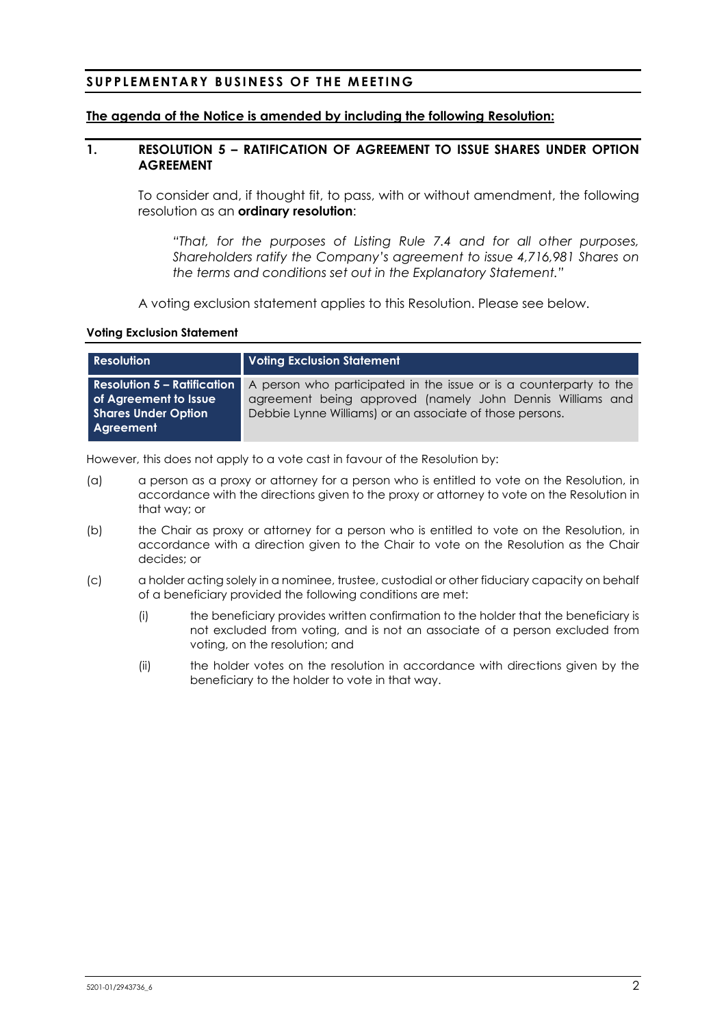# **SUPPLEMENTARY BUSINESS OF THE MEETING**

# **The agenda of the Notice is amended by including the following Resolution:**

# **1. RESOLUTION 5 – RATIFICATION OF AGREEMENT TO ISSUE SHARES UNDER OPTION AGREEMENT**

<span id="page-2-0"></span>To consider and, if thought fit, to pass, with or without amendment, the following resolution as an **ordinary resolution**:

*"That, for the purposes of Listing Rule 7.4 and for all other purposes, Shareholders ratify the Company's agreement to issue 4,716,981 Shares on the terms and conditions set out in the Explanatory Statement."*

A voting exclusion statement applies to this Resolution. Please see below.

## **Voting Exclusion Statement**

| <b>Resolution</b>                                                                                      | <b>Voting Exclusion Statement</b>                                                                                                                                                           |
|--------------------------------------------------------------------------------------------------------|---------------------------------------------------------------------------------------------------------------------------------------------------------------------------------------------|
| <b>Resolution 5 - Ratification</b><br>of Agreement to Issue<br><b>Shares Under Option</b><br>Agreement | A person who participated in the issue or is a counterparty to the<br>agreement being approved (namely John Dennis Williams and<br>Debbie Lynne Williams) or an associate of those persons. |

However, this does not apply to a vote cast in favour of the Resolution by:

- (a) a person as a proxy or attorney for a person who is entitled to vote on the Resolution, in accordance with the directions given to the proxy or attorney to vote on the Resolution in that way; or
- (b) the Chair as proxy or attorney for a person who is entitled to vote on the Resolution, in accordance with a direction given to the Chair to vote on the Resolution as the Chair decides; or
- (c) a holder acting solely in a nominee, trustee, custodial or other fiduciary capacity on behalf of a beneficiary provided the following conditions are met:
	- (i) the beneficiary provides written confirmation to the holder that the beneficiary is not excluded from voting, and is not an associate of a person excluded from voting, on the resolution; and
	- (ii) the holder votes on the resolution in accordance with directions given by the beneficiary to the holder to vote in that way.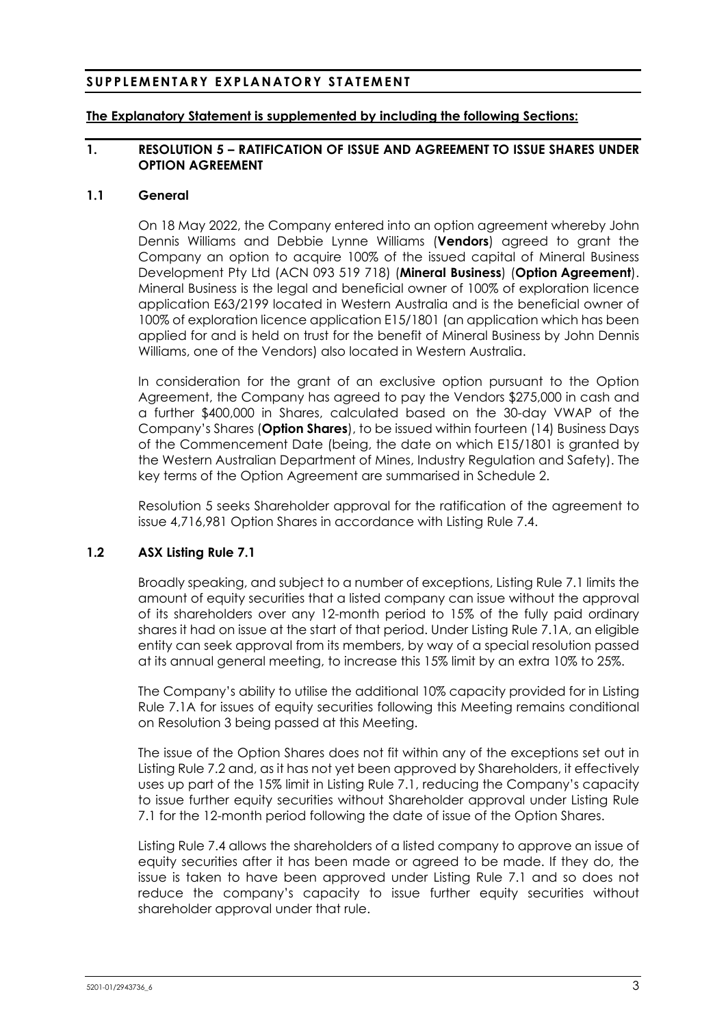# **SUPPLEMENTARY EXPLANATORY STATEMENT**

# **The Explanatory Statement is supplemented by including the following Sections:**

# **1. RESOLUTION [5](#page-2-0) – RATIFICATION OF ISSUE AND AGREEMENT TO ISSUE SHARES UNDER OPTION AGREEMENT**

# <span id="page-3-0"></span>**1.1 General**

On 18 May 2022, the Company entered into an option agreement whereby John Dennis Williams and Debbie Lynne Williams (**Vendors**) agreed to grant the Company an option to acquire 100% of the issued capital of Mineral Business Development Pty Ltd (ACN 093 519 718) (**Mineral Business**) (**Option Agreement**). Mineral Business is the legal and beneficial owner of 100% of exploration licence application E63/2199 located in Western Australia and is the beneficial owner of 100% of exploration licence application E15/1801 (an application which has been applied for and is held on trust for the benefit of Mineral Business by John Dennis Williams, one of the Vendors) also located in Western Australia.

In consideration for the grant of an exclusive option pursuant to the Option Agreement, the Company has agreed to pay the Vendors \$275,000 in cash and a further \$400,000 in Shares, calculated based on the 30-day VWAP of the Company's Shares (**Option Shares**), to be issued within fourteen (14) Business Days of the Commencement Date (being, the date on which E15/1801 is granted by the Western Australian Department of Mines, Industry Regulation and Safety). The key terms of the Option Agreement are summarised in Schedule 2.

Resolution 5 seeks Shareholder approval for the ratification of the agreement to issue 4,716,981 Option Shares in accordance with Listing Rule 7.4.

# **1.2 ASX Listing Rule 7.1**

Broadly speaking, and subject to a number of exceptions, Listing Rule 7.1 limits the amount of equity securities that a listed company can issue without the approval of its shareholders over any 12-month period to 15% of the fully paid ordinary shares it had on issue at the start of that period. Under Listing Rule 7.1A, an eligible entity can seek approval from its members, by way of a special resolution passed at its annual general meeting, to increase this 15% limit by an extra 10% to 25%.

The Company's ability to utilise the additional 10% capacity provided for in Listing Rule 7.1A for issues of equity securities following this Meeting remains conditional on Resolution 3 being passed at this Meeting.

The issue of the Option Shares does not fit within any of the exceptions set out in Listing Rule 7.2 and, as it has not yet been approved by Shareholders, it effectively uses up part of the 15% limit in Listing Rule 7.1, reducing the Company's capacity to issue further equity securities without Shareholder approval under Listing Rule 7.1 for the 12-month period following the date of issue of the Option Shares.

Listing Rule 7.4 allows the shareholders of a listed company to approve an issue of equity securities after it has been made or agreed to be made. If they do, the issue is taken to have been approved under Listing Rule 7.1 and so does not reduce the company's capacity to issue further equity securities without shareholder approval under that rule.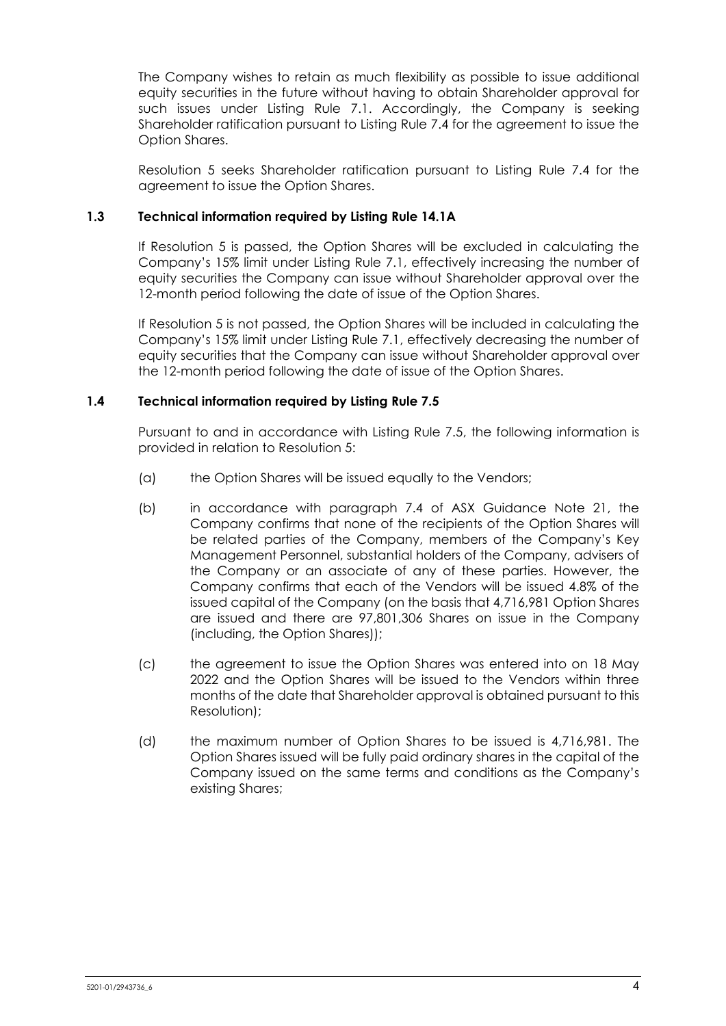The Company wishes to retain as much flexibility as possible to issue additional equity securities in the future without having to obtain Shareholder approval for such issues under Listing Rule 7.1. Accordingly, the Company is seeking Shareholder ratification pursuant to Listing Rule 7.4 for the agreement to issue the Option Shares.

Resolution [5](#page-2-0) seeks Shareholder ratification pursuant to Listing Rule 7.4 for the agreement to issue the Option Shares.

# **1.3 Technical information required by Listing Rule 14.1A**

If Resolution [5](#page-2-0) is passed, the Option Shares will be excluded in calculating the Company's 15% limit under Listing Rule 7.1, effectively increasing the number of equity securities the Company can issue without Shareholder approval over the 12-month period following the date of issue of the Option Shares.

If Resolution [5](#page-2-0) is not passed, the Option Shares will be included in calculating the Company's 15% limit under Listing Rule 7.1, effectively decreasing the number of equity securities that the Company can issue without Shareholder approval over the 12-month period following the date of issue of the Option Shares.

# **1.4 Technical information required by Listing Rule 7.5**

Pursuant to and in accordance with Listing Rule 7.5, the following information is provided in relation to Resolution [5:](#page-2-0)

- (a) the Option Shares will be issued equally to the Vendors;
- (b) in accordance with paragraph 7.4 of ASX Guidance Note 21, the Company confirms that none of the recipients of the Option Shares will be related parties of the Company, members of the Company's Key Management Personnel, substantial holders of the Company, advisers of the Company or an associate of any of these parties. However, the Company confirms that each of the Vendors will be issued 4.8% of the issued capital of the Company (on the basis that 4,716,981 Option Shares are issued and there are 97,801,306 Shares on issue in the Company (including, the Option Shares));
- (c) the agreement to issue the Option Shares was entered into on 18 May 2022 and the Option Shares will be issued to the Vendors within three months of the date that Shareholder approval is obtained pursuant to this Resolution);
- (d) the maximum number of Option Shares to be issued is 4,716,981. The Option Shares issued will be fully paid ordinary shares in the capital of the Company issued on the same terms and conditions as the Company's existing Shares;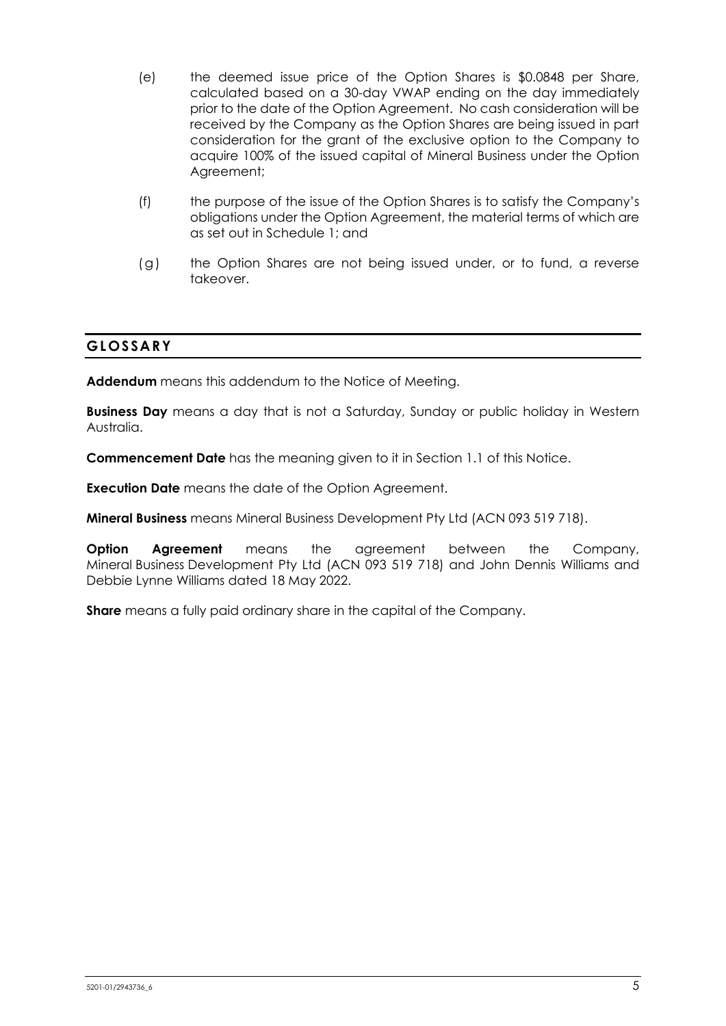- (e) the deemed issue price of the Option Shares is \$0.0848 per Share, calculated based on a 30-day VWAP ending on the day immediately prior to the date of the Option Agreement. No cash consideration will be received by the Company as the Option Shares are being issued in part consideration for the grant of the exclusive option to the Company to acquire 100% of the issued capital of Mineral Business under the Option Agreement;
- (f) the purpose of the issue of the Option Shares is to satisfy the Company's obligations under the Option Agreement, the material terms of which are as set out in Schedule 1; and
- (g) the Option Shares are not being issued under, or to fund, a reverse takeover.

# **GLOSSARY**

**Addendum** means this addendum to the Notice of Meeting.

**Business Day** means a day that is not a Saturday, Sunday or public holiday in Western Australia.

**Commencement Date** has the meaning given to it in Section [1.1](#page-3-0) of this Notice.

**Execution Date** means the date of the Option Agreement.

**Mineral Business** means Mineral Business Development Pty Ltd (ACN 093 519 718).

**Option Agreement** means the agreement between the Company, Mineral Business Development Pty Ltd (ACN 093 519 718) and John Dennis Williams and Debbie Lynne Williams dated 18 May 2022.

**Share** means a fully paid ordinary share in the capital of the Company.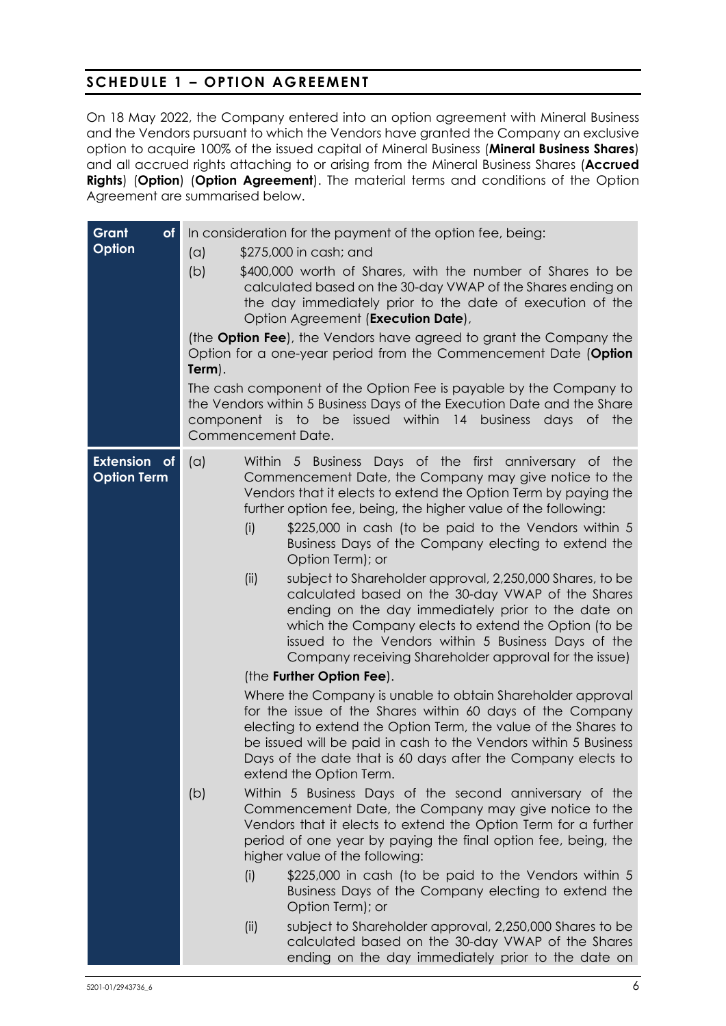# **SCHEDULE 1 – OPTION AGREEMENT**

On 18 May 2022, the Company entered into an option agreement with Mineral Business and the Vendors pursuant to which the Vendors have granted the Company an exclusive option to acquire 100% of the issued capital of Mineral Business (**Mineral Business Shares**) and all accrued rights attaching to or arising from the Mineral Business Shares (**Accrued Rights**) (**Option**) (**Option Agreement**). The material terms and conditions of the Option Agreement are summarised below.

| Grant<br>of<br>Option                     | In consideration for the payment of the option fee, being:<br>\$275,000 in cash; and<br>(a)<br>(b)<br>\$400,000 worth of Shares, with the number of Shares to be<br>calculated based on the 30-day VWAP of the Shares ending on<br>the day immediately prior to the date of execution of the<br>Option Agreement (Execution Date),<br>(the <b>Option Fee</b> ), the Vendors have agreed to grant the Company the<br>Option for a one-year period from the Commencement Date (Option<br>Term).<br>The cash component of the Option Fee is payable by the Company to<br>the Vendors within 5 Business Days of the Execution Date and the Share<br>component is to be issued within 14 business days of the<br>Commencement Date.                                                                                                                                                                                                                                                                                                                                                                                                                                                                                                                                                                                                                                                                                                                                                                                                                                                                                                                                                                                                                                               |  |  |  |  |
|-------------------------------------------|------------------------------------------------------------------------------------------------------------------------------------------------------------------------------------------------------------------------------------------------------------------------------------------------------------------------------------------------------------------------------------------------------------------------------------------------------------------------------------------------------------------------------------------------------------------------------------------------------------------------------------------------------------------------------------------------------------------------------------------------------------------------------------------------------------------------------------------------------------------------------------------------------------------------------------------------------------------------------------------------------------------------------------------------------------------------------------------------------------------------------------------------------------------------------------------------------------------------------------------------------------------------------------------------------------------------------------------------------------------------------------------------------------------------------------------------------------------------------------------------------------------------------------------------------------------------------------------------------------------------------------------------------------------------------------------------------------------------------------------------------------------------------|--|--|--|--|
| <b>Extension</b> of<br><b>Option Term</b> | (a)<br>Within 5 Business Days of the first anniversary of the<br>Commencement Date, the Company may give notice to the<br>Vendors that it elects to extend the Option Term by paying the<br>further option fee, being, the higher value of the following:<br>(i)<br>\$225,000 in cash (to be paid to the Vendors within 5<br>Business Days of the Company electing to extend the<br>Option Term); or<br>subject to Shareholder approval, 2,250,000 Shares, to be<br>(ii)<br>calculated based on the 30-day VWAP of the Shares<br>ending on the day immediately prior to the date on<br>which the Company elects to extend the Option (to be<br>issued to the Vendors within 5 Business Days of the<br>Company receiving Shareholder approval for the issue)<br>(the Further Option Fee).<br>Where the Company is unable to obtain Shareholder approval<br>for the issue of the Shares within 60 days of the Company<br>electing to extend the Option Term, the value of the Shares to<br>be issued will be paid in cash to the Vendors within 5 Business<br>Days of the date that is 60 days after the Company elects to<br>extend the Option Term.<br>Within 5 Business Days of the second anniversary of the<br>(b)<br>Commencement Date, the Company may give notice to the<br>Vendors that it elects to extend the Option Term for a further<br>period of one year by paying the final option fee, being, the<br>higher value of the following:<br>\$225,000 in cash (to be paid to the Vendors within 5<br>(i)<br>Business Days of the Company electing to extend the<br>Option Term); or<br>subject to Shareholder approval, 2,250,000 Shares to be<br>(ii)<br>calculated based on the 30-day VWAP of the Shares<br>ending on the day immediately prior to the date on |  |  |  |  |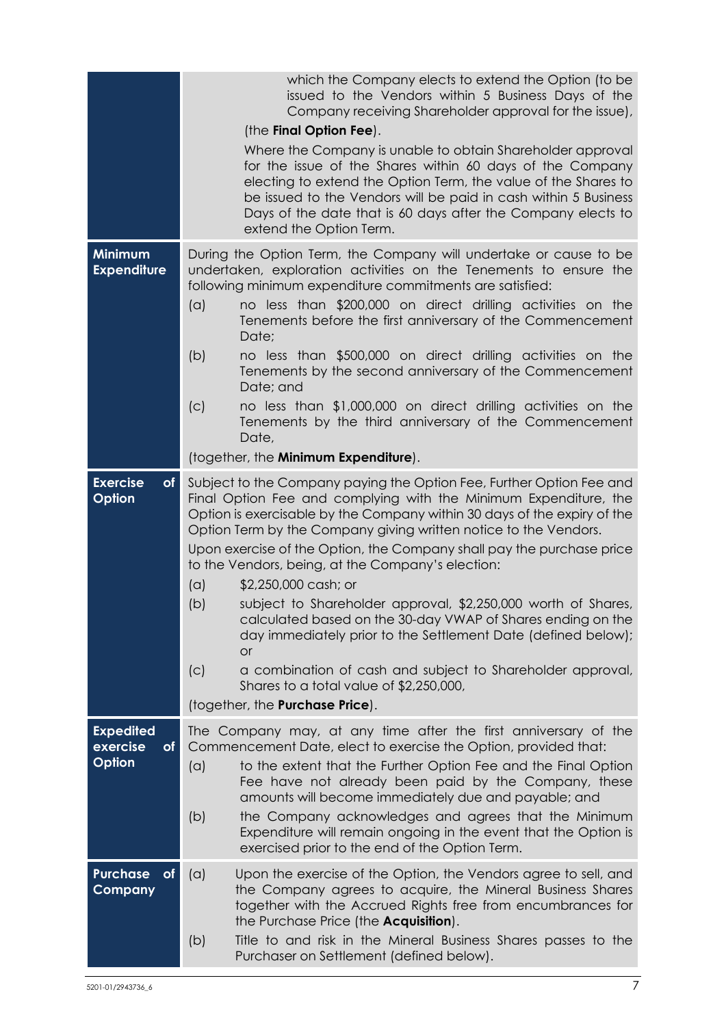|                                               | which the Company elects to extend the Option (to be<br>issued to the Vendors within 5 Business Days of the<br>Company receiving Shareholder approval for the issue),<br>(the Final Option Fee).<br>Where the Company is unable to obtain Shareholder approval<br>for the issue of the Shares within 60 days of the Company<br>electing to extend the Option Term, the value of the Shares to<br>be issued to the Vendors will be paid in cash within 5 Business<br>Days of the date that is 60 days after the Company elects to                                                                                                                                                                                                                                                                                              |  |  |  |  |
|-----------------------------------------------|-------------------------------------------------------------------------------------------------------------------------------------------------------------------------------------------------------------------------------------------------------------------------------------------------------------------------------------------------------------------------------------------------------------------------------------------------------------------------------------------------------------------------------------------------------------------------------------------------------------------------------------------------------------------------------------------------------------------------------------------------------------------------------------------------------------------------------|--|--|--|--|
| <b>Minimum</b><br><b>Expenditure</b>          | extend the Option Term.<br>During the Option Term, the Company will undertake or cause to be<br>undertaken, exploration activities on the Tenements to ensure the<br>following minimum expenditure commitments are satisfied:<br>no less than \$200,000 on direct drilling activities on the<br>(a)<br>Tenements before the first anniversary of the Commencement<br>Date;<br>(b)<br>no less than \$500,000 on direct drilling activities on the<br>Tenements by the second anniversary of the Commencement<br>Date; and                                                                                                                                                                                                                                                                                                      |  |  |  |  |
|                                               | no less than \$1,000,000 on direct drilling activities on the<br>(c)<br>Tenements by the third anniversary of the Commencement<br>Date,<br>(together, the Minimum Expenditure).                                                                                                                                                                                                                                                                                                                                                                                                                                                                                                                                                                                                                                               |  |  |  |  |
| <b>Exercise</b><br>of <sub>l</sub><br>Option  | Subject to the Company paying the Option Fee, Further Option Fee and<br>Final Option Fee and complying with the Minimum Expenditure, the<br>Option is exercisable by the Company within 30 days of the expiry of the<br>Option Term by the Company giving written notice to the Vendors.<br>Upon exercise of the Option, the Company shall pay the purchase price<br>to the Vendors, being, at the Company's election:<br>(a)<br>\$2,250,000 cash; or<br>subject to Shareholder approval, \$2,250,000 worth of Shares,<br>(b)<br>calculated based on the 30-day VWAP of Shares ending on the<br>day immediately prior to the Settlement Date (defined below);<br><b>or</b><br>a combination of cash and subject to Shareholder approval,<br>(C)<br>Shares to a total value of \$2,250,000,<br>(together, the Purchase Price). |  |  |  |  |
| <b>Expedited</b><br>exercise<br>of.<br>Option | The Company may, at any time after the first anniversary of the<br>Commencement Date, elect to exercise the Option, provided that:<br>to the extent that the Further Option Fee and the Final Option<br>(a)<br>Fee have not already been paid by the Company, these<br>amounts will become immediately due and payable; and<br>(b)<br>the Company acknowledges and agrees that the Minimum<br>Expenditure will remain ongoing in the event that the Option is<br>exercised prior to the end of the Option Term.                                                                                                                                                                                                                                                                                                               |  |  |  |  |
| <b>Purchase</b><br><b>of</b><br>Company       | (a)<br>Upon the exercise of the Option, the Vendors agree to sell, and<br>the Company agrees to acquire, the Mineral Business Shares<br>together with the Accrued Rights free from encumbrances for<br>the Purchase Price (the <b>Acquisition</b> ).<br>(b)<br>Title to and risk in the Mineral Business Shares passes to the<br>Purchaser on Settlement (defined below).                                                                                                                                                                                                                                                                                                                                                                                                                                                     |  |  |  |  |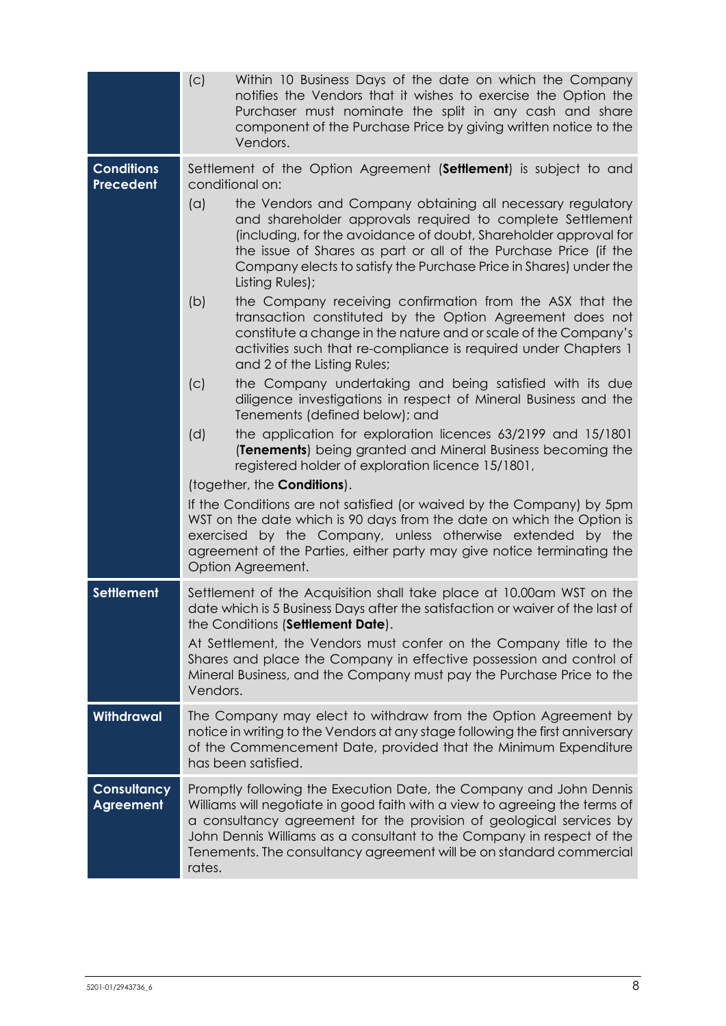|                                       | (c)<br>Within 10 Business Days of the date on which the Company<br>notifies the Vendors that it wishes to exercise the Option the<br>Purchaser must nominate the split in any cash and share<br>component of the Purchase Price by giving written notice to the<br>Vendors.                                                                                                       |  |  |  |  |
|---------------------------------------|-----------------------------------------------------------------------------------------------------------------------------------------------------------------------------------------------------------------------------------------------------------------------------------------------------------------------------------------------------------------------------------|--|--|--|--|
| <b>Conditions</b><br><b>Precedent</b> | Settlement of the Option Agreement (Settlement) is subject to and<br>conditional on:                                                                                                                                                                                                                                                                                              |  |  |  |  |
|                                       | (a)<br>the Vendors and Company obtaining all necessary regulatory<br>and shareholder approvals required to complete Settlement<br>(including, for the avoidance of doubt, Shareholder approval for<br>the issue of Shares as part or all of the Purchase Price (if the<br>Company elects to satisfy the Purchase Price in Shares) under the<br>Listing Rules);                    |  |  |  |  |
|                                       | (b)<br>the Company receiving confirmation from the ASX that the<br>transaction constituted by the Option Agreement does not<br>constitute a change in the nature and or scale of the Company's<br>activities such that re-compliance is required under Chapters 1<br>and 2 of the Listing Rules;                                                                                  |  |  |  |  |
|                                       | (c)<br>the Company undertaking and being satisfied with its due<br>diligence investigations in respect of Mineral Business and the<br>Tenements (defined below); and                                                                                                                                                                                                              |  |  |  |  |
|                                       | (d)<br>the application for exploration licences 63/2199 and 15/1801<br>(Tenements) being granted and Mineral Business becoming the<br>registered holder of exploration licence 15/1801,                                                                                                                                                                                           |  |  |  |  |
|                                       | (together, the <b>Conditions</b> ).<br>If the Conditions are not satisfied (or waived by the Company) by 5pm<br>WST on the date which is 90 days from the date on which the Option is<br>exercised by the Company, unless otherwise extended by the<br>agreement of the Parties, either party may give notice terminating the<br>Option Agreement.                                |  |  |  |  |
| <b>Settlement</b>                     | Settlement of the Acquisition shall take place at 10.00am WST on the<br>date which is 5 Business Days after the satisfaction or waiver of the last of<br>the Conditions (Settlement Date).                                                                                                                                                                                        |  |  |  |  |
|                                       | At Settlement, the Vendors must confer on the Company title to the<br>Shares and place the Company in effective possession and control of<br>Mineral Business, and the Company must pay the Purchase Price to the<br>Vendors.                                                                                                                                                     |  |  |  |  |
| Withdrawal                            | The Company may elect to withdraw from the Option Agreement by<br>notice in writing to the Vendors at any stage following the first anniversary<br>of the Commencement Date, provided that the Minimum Expenditure<br>has been satisfied.                                                                                                                                         |  |  |  |  |
| Consultancy<br><b>Agreement</b>       | Promptly following the Execution Date, the Company and John Dennis<br>Williams will negotiate in good faith with a view to agreeing the terms of<br>a consultancy agreement for the provision of geological services by<br>John Dennis Williams as a consultant to the Company in respect of the<br>Tenements. The consultancy agreement will be on standard commercial<br>rates. |  |  |  |  |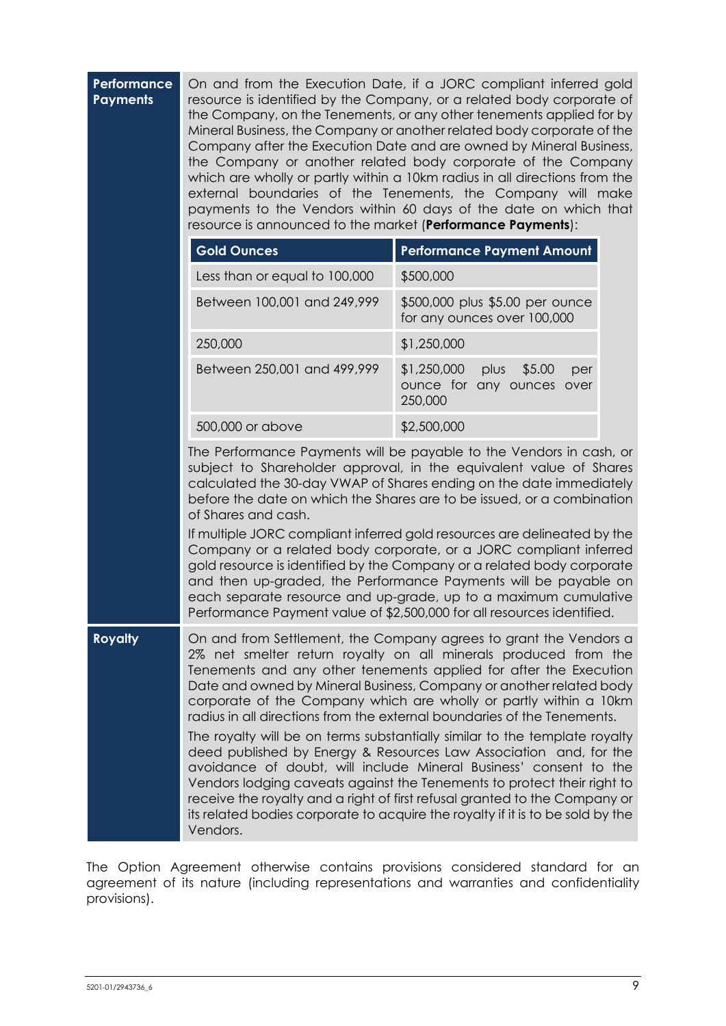| Performance<br><b>Payments</b> | On and from the Execution Date, if a JORC compliant inferred gold<br>resource is identified by the Company, or a related body corporate of<br>the Company, on the Tenements, or any other tenements applied for by<br>Mineral Business, the Company or another related body corporate of the<br>Company after the Execution Date and are owned by Mineral Business,<br>the Company or another related body corporate of the Company<br>which are wholly or partly within a 10km radius in all directions from the<br>external boundaries of the Tenements, the Company will make<br>payments to the Vendors within 60 days of the date on which that<br>resource is announced to the market (Performance Payments):                                                                                                                                                                                             |                                                                              |  |  |  |
|--------------------------------|-----------------------------------------------------------------------------------------------------------------------------------------------------------------------------------------------------------------------------------------------------------------------------------------------------------------------------------------------------------------------------------------------------------------------------------------------------------------------------------------------------------------------------------------------------------------------------------------------------------------------------------------------------------------------------------------------------------------------------------------------------------------------------------------------------------------------------------------------------------------------------------------------------------------|------------------------------------------------------------------------------|--|--|--|
|                                | <b>Gold Ounces</b>                                                                                                                                                                                                                                                                                                                                                                                                                                                                                                                                                                                                                                                                                                                                                                                                                                                                                              | <b>Performance Payment Amount</b>                                            |  |  |  |
|                                | Less than or equal to 100,000                                                                                                                                                                                                                                                                                                                                                                                                                                                                                                                                                                                                                                                                                                                                                                                                                                                                                   | \$500,000                                                                    |  |  |  |
|                                | Between 100,001 and 249,999                                                                                                                                                                                                                                                                                                                                                                                                                                                                                                                                                                                                                                                                                                                                                                                                                                                                                     | \$500,000 plus \$5.00 per ounce<br>for any ounces over 100,000               |  |  |  |
|                                | 250,000                                                                                                                                                                                                                                                                                                                                                                                                                                                                                                                                                                                                                                                                                                                                                                                                                                                                                                         | \$1,250,000                                                                  |  |  |  |
|                                | Between 250,001 and 499,999                                                                                                                                                                                                                                                                                                                                                                                                                                                                                                                                                                                                                                                                                                                                                                                                                                                                                     | \$1,250,000<br>plus<br>\$5.00<br>per<br>ounce for any ounces over<br>250,000 |  |  |  |
|                                | 500,000 or above                                                                                                                                                                                                                                                                                                                                                                                                                                                                                                                                                                                                                                                                                                                                                                                                                                                                                                | \$2,500,000                                                                  |  |  |  |
|                                | The Performance Payments will be payable to the Vendors in cash, or<br>subject to Shareholder approval, in the equivalent value of Shares<br>calculated the 30-day VWAP of Shares ending on the date immediately<br>before the date on which the Shares are to be issued, or a combination<br>of Shares and cash.<br>If multiple JORC compliant inferred gold resources are delineated by the<br>Company or a related body corporate, or a JORC compliant inferred<br>gold resource is identified by the Company or a related body corporate<br>and then up-graded, the Performance Payments will be payable on<br>each separate resource and up-grade, up to a maximum cumulative<br>Performance Payment value of \$2,500,000 for all resources identified.                                                                                                                                                    |                                                                              |  |  |  |
| <b>Royalty</b>                 | On and from Settlement, the Company agrees to grant the Vendors a<br>2% net smelter return royalty on all minerals produced from the<br>Tenements and any other tenements applied for after the Execution<br>Date and owned by Mineral Business, Company or another related body<br>corporate of the Company which are wholly or partly within a 10km<br>radius in all directions from the external boundaries of the Tenements.<br>The royalty will be on terms substantially similar to the template royalty<br>deed published by Energy & Resources Law Association and, for the<br>avoidance of doubt, will include Mineral Business' consent to the<br>Vendors lodging caveats against the Tenements to protect their right to<br>receive the royalty and a right of first refusal granted to the Company or<br>its related bodies corporate to acquire the royalty if it is to be sold by the<br>Vendors. |                                                                              |  |  |  |

The Option Agreement otherwise contains provisions considered standard for an agreement of its nature (including representations and warranties and confidentiality provisions).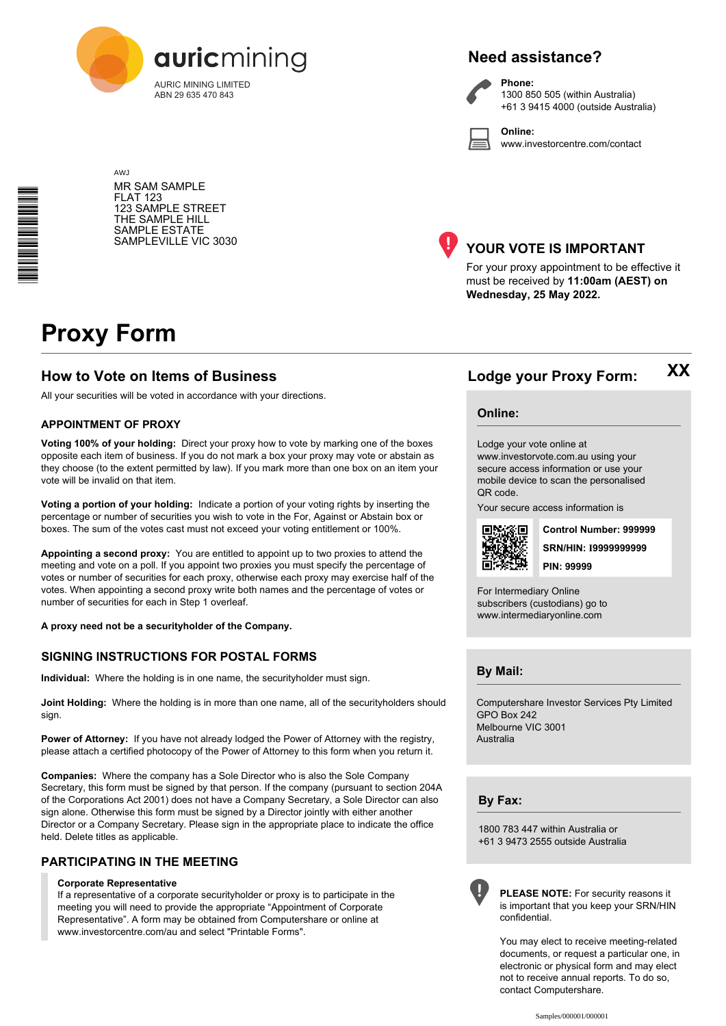

# **Need assistance?**



**Phone:** 1300 850 505 (within Australia) +61 3 9415 4000 (outside Australia)

**Online:** www.investorcentre.com/contact

MR SAM SAMPLE FLAT 123 123 SAMPLE STREET THE SAMPLE HILL SAMPLE ESTATE SAMPLEVILLE VIC 3030



# **YOUR VOTE IS IMPORTANT**

For your proxy appointment to be effective it must be received by **11:00am (AEST) on Wednesday, 25 May 2022.**

# **Proxy Form**

AW<sub>J</sub>

# **How to Vote on Items of Business Lodge your Proxy Form:**

All your securities will be voted in accordance with your directions.

#### **APPOINTMENT OF PROXY**

**Voting 100% of your holding:** Direct your proxy how to vote by marking one of the boxes opposite each item of business. If you do not mark a box your proxy may vote or abstain as they choose (to the extent permitted by law). If you mark more than one box on an item your vote will be invalid on that item.

**Voting a portion of your holding:** Indicate a portion of your voting rights by inserting the percentage or number of securities you wish to vote in the For, Against or Abstain box or boxes. The sum of the votes cast must not exceed your voting entitlement or 100%.

**Appointing a second proxy:** You are entitled to appoint up to two proxies to attend the meeting and vote on a poll. If you appoint two proxies you must specify the percentage of votes or number of securities for each proxy, otherwise each proxy may exercise half of the votes. When appointing a second proxy write both names and the percentage of votes or number of securities for each in Step 1 overleaf.

**A proxy need not be a securityholder of the Company.**

## **SIGNING INSTRUCTIONS FOR POSTAL FORMS**

**Individual:** Where the holding is in one name, the securityholder must sign.

**Joint Holding:** Where the holding is in more than one name, all of the securityholders should sign.

Power of Attorney: If you have not already lodged the Power of Attorney with the registry, please attach a certified photocopy of the Power of Attorney to this form when you return it.

**Companies:** Where the company has a Sole Director who is also the Sole Company Secretary, this form must be signed by that person. If the company (pursuant to section 204A of the Corporations Act 2001) does not have a Company Secretary, a Sole Director can also sign alone. Otherwise this form must be signed by a Director jointly with either another Director or a Company Secretary. Please sign in the appropriate place to indicate the office held. Delete titles as applicable.

## **PARTICIPATING IN THE MEETING**

#### **Corporate Representative**

If a representative of a corporate securityholder or proxy is to participate in the meeting you will need to provide the appropriate "Appointment of Corporate Representative". A form may be obtained from Computershare or online at www.investorcentre.com/au and select "Printable Forms".

#### **Online:**

Lodge your vote online at

www.investorvote.com.au using your secure access information or use your mobile device to scan the personalised QR code.

Your secure access information is



**SRN/HIN: I9999999999 Control Number: 999999 PIN: 99999**

**XX**

For Intermediary Online subscribers (custodians) go to www.intermediaryonline.com

**By Mail:**

Computershare Investor Services Pty Limited GPO Box 242 Melbourne VIC 3001 Australia

**By Fax:**

1800 783 447 within Australia or +61 3 9473 2555 outside Australia



**PLEASE NOTE:** For security reasons it is important that you keep your SRN/HIN confidential.

You may elect to receive meeting-related documents, or request a particular one, in electronic or physical form and may elect not to receive annual reports. To do so, contact Computershare.

\*<br>\* London<br>Timografia